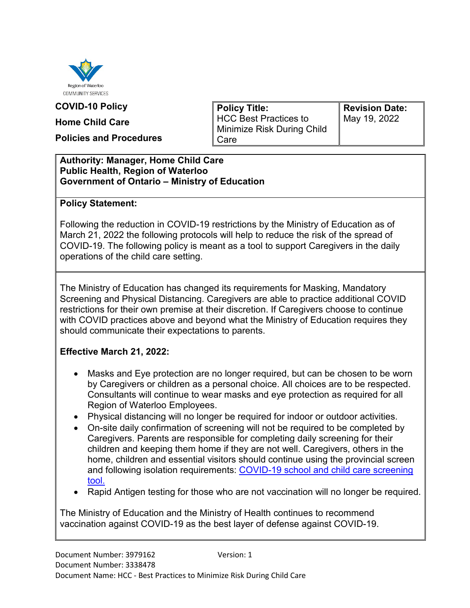

#### **COVID-10 Policy**

#### **Home Child Care**

**Policies and Procedures**

**Policy Title:** HCC Best Practices to Minimize Risk During Child Care

**Revision Date:** May 19, 2022

#### **Authority: Manager, Home Child Care Public Health, Region of Waterloo Government of Ontario – Ministry of Education**

#### **Policy Statement:**

Following the reduction in COVID-19 restrictions by the Ministry of Education as of March 21, 2022 the following protocols will help to reduce the risk of the spread of COVID-19. The following policy is meant as a tool to support Caregivers in the daily operations of the child care setting.

The Ministry of Education has changed its requirements for Masking, Mandatory Screening and Physical Distancing. Caregivers are able to practice additional COVID restrictions for their own premise at their discretion. If Caregivers choose to continue with COVID practices above and beyond what the Ministry of Education requires they should communicate their expectations to parents.

#### **Effective March 21, 2022:**

- Masks and Eye protection are no longer required, but can be chosen to be worn by Caregivers or children as a personal choice. All choices are to be respected. Consultants will continue to wear masks and eye protection as required for all Region of Waterloo Employees.
- Physical distancing will no longer be required for indoor or outdoor activities.
- On-site daily confirmation of screening will not be required to be completed by Caregivers. Parents are responsible for completing daily screening for their children and keeping them home if they are not well. Caregivers, others in the home, children and essential visitors should continue using the provincial screen and following isolation requirements: [COVID-19 school and child care screening](https://covid-19.ontario.ca/school-screening/)  [tool.](https://covid-19.ontario.ca/school-screening/)
- Rapid Antigen testing for those who are not vaccination will no longer be required.

The Ministry of Education and the Ministry of Health continues to recommend vaccination against COVID-19 as the best layer of defense against COVID-19.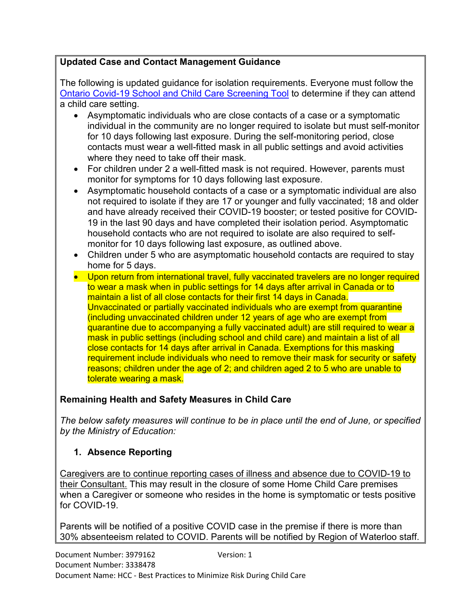## **Updated Case and Contact Management Guidance**

The following is updated guidance for isolation requirements. Everyone must follow the [Ontario Covid-19 School and Child Care Screening Tool](https://covid-19.ontario.ca/school-screening/) to determine if they can attend a child care setting.

- Asymptomatic individuals who are close contacts of a case or a symptomatic individual in the community are no longer required to isolate but must self-monitor for 10 days following last exposure. During the self-monitoring period, close contacts must wear a well-fitted mask in all public settings and avoid activities where they need to take off their mask.
- For children under 2 a well-fitted mask is not required. However, parents must monitor for symptoms for 10 days following last exposure.
- Asymptomatic household contacts of a case or a symptomatic individual are also not required to isolate if they are 17 or younger and fully vaccinated; 18 and older and have already received their COVID-19 booster; or tested positive for COVID-19 in the last 90 days and have completed their isolation period. Asymptomatic household contacts who are not required to isolate are also required to selfmonitor for 10 days following last exposure, as outlined above.
- Children under 5 who are asymptomatic household contacts are required to stay home for 5 days.
- Upon return from international travel, fully vaccinated travelers are no longer required to wear a mask when in public settings for 14 days after arrival in Canada or to maintain a list of all close contacts for their first 14 days in Canada. Unvaccinated or partially vaccinated individuals who are exempt from quarantine (including unvaccinated children under 12 years of age who are exempt from quarantine due to accompanying a fully vaccinated adult) are still required to wear a mask in public settings (including school and child care) and maintain a list of all close contacts for 14 days after arrival in Canada. Exemptions for this masking requirement include individuals who need to remove their mask for security or safety reasons; children under the age of 2; and children aged 2 to 5 who are unable to tolerate wearing a mask.

## **Remaining Health and Safety Measures in Child Care**

*The below safety measures will continue to be in place until the end of June, or specified by the Ministry of Education:* 

## **1. Absence Reporting**

Caregivers are to continue reporting cases of illness and absence due to COVID-19 to their Consultant. This may result in the closure of some Home Child Care premises when a Caregiver or someone who resides in the home is symptomatic or tests positive for COVID-19.

Parents will be notified of a positive COVID case in the premise if there is more than 30% absenteeism related to COVID. Parents will be notified by Region of Waterloo staff.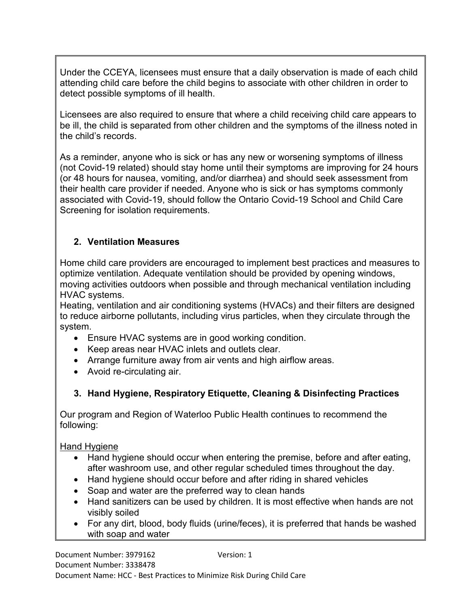Under the CCEYA, licensees must ensure that a daily observation is made of each child attending child care before the child begins to associate with other children in order to detect possible symptoms of ill health.

Licensees are also required to ensure that where a child receiving child care appears to be ill, the child is separated from other children and the symptoms of the illness noted in the child's records.

As a reminder, anyone who is sick or has any new or worsening symptoms of illness (not Covid-19 related) should stay home until their symptoms are improving for 24 hours (or 48 hours for nausea, vomiting, and/or diarrhea) and should seek assessment from their health care provider if needed. Anyone who is sick or has symptoms commonly associated with Covid-19, should follow the Ontario Covid-19 School and Child Care Screening for isolation requirements.

## **2. Ventilation Measures**

Home child care providers are encouraged to implement best practices and measures to optimize ventilation. Adequate ventilation should be provided by opening windows, moving activities outdoors when possible and through mechanical ventilation including HVAC systems.

Heating, ventilation and air conditioning systems (HVACs) and their filters are designed to reduce airborne pollutants, including virus particles, when they circulate through the system.

- Ensure HVAC systems are in good working condition.
- Keep areas near HVAC inlets and outlets clear.
- Arrange furniture away from air vents and high airflow areas.
- Avoid re-circulating air.

## **3. Hand Hygiene, Respiratory Etiquette, Cleaning & Disinfecting Practices**

Our program and Region of Waterloo Public Health continues to recommend the following:

Hand Hygiene

- Hand hygiene should occur when entering the premise, before and after eating, after washroom use, and other regular scheduled times throughout the day.
- Hand hygiene should occur before and after riding in shared vehicles
- Soap and water are the preferred way to clean hands
- Hand sanitizers can be used by children. It is most effective when hands are not visibly soiled
- For any dirt, blood, body fluids (urine/feces), it is preferred that hands be washed with soap and water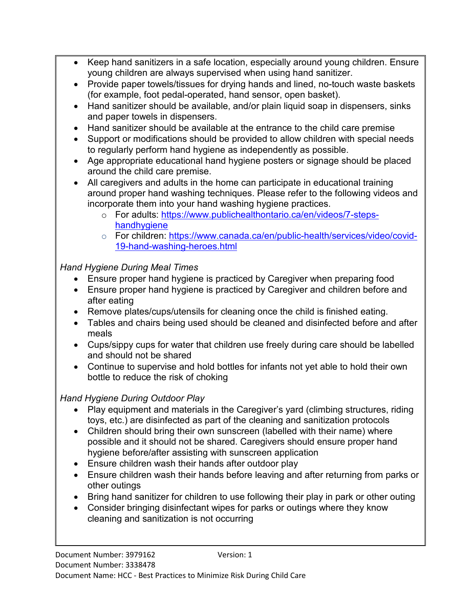- Keep hand sanitizers in a safe location, especially around young children. Ensure young children are always supervised when using hand sanitizer.
- Provide paper towels/tissues for drying hands and lined, no-touch waste baskets (for example, foot pedal-operated, hand sensor, open basket).
- Hand sanitizer should be available, and/or plain liquid soap in dispensers, sinks and paper towels in dispensers.
- Hand sanitizer should be available at the entrance to the child care premise
- Support or modifications should be provided to allow children with special needs to regularly perform hand hygiene as independently as possible.
- Age appropriate educational hand hygiene posters or signage should be placed around the child care premise.
- All caregivers and adults in the home can participate in educational training around proper hand washing techniques. Please refer to the following videos and incorporate them into your hand washing hygiene practices.
	- o For adults: [https://www.publichealthontario.ca/en/videos/7-steps](https://www.publichealthontario.ca/en/videos/7-steps-handhygiene)[handhygiene](https://www.publichealthontario.ca/en/videos/7-steps-handhygiene)
	- o For children: [https://www.canada.ca/en/public-health/services/video/covid-](https://www.canada.ca/en/public-health/services/video/covid-19-hand-washing-heroes.html)[19-hand-washing-heroes.html](https://www.canada.ca/en/public-health/services/video/covid-19-hand-washing-heroes.html)

# *Hand Hygiene During Meal Times*

- Ensure proper hand hygiene is practiced by Caregiver when preparing food
- Ensure proper hand hygiene is practiced by Caregiver and children before and after eating
- Remove plates/cups/utensils for cleaning once the child is finished eating.
- Tables and chairs being used should be cleaned and disinfected before and after meals
- Cups/sippy cups for water that children use freely during care should be labelled and should not be shared
- Continue to supervise and hold bottles for infants not yet able to hold their own bottle to reduce the risk of choking

# *Hand Hygiene During Outdoor Play*

- Play equipment and materials in the Caregiver's yard (climbing structures, riding toys, etc.) are disinfected as part of the cleaning and sanitization protocols
- Children should bring their own sunscreen (labelled with their name) where possible and it should not be shared. Caregivers should ensure proper hand hygiene before/after assisting with sunscreen application
- Ensure children wash their hands after outdoor play
- Ensure children wash their hands before leaving and after returning from parks or other outings
- Bring hand sanitizer for children to use following their play in park or other outing
- Consider bringing disinfectant wipes for parks or outings where they know cleaning and sanitization is not occurring